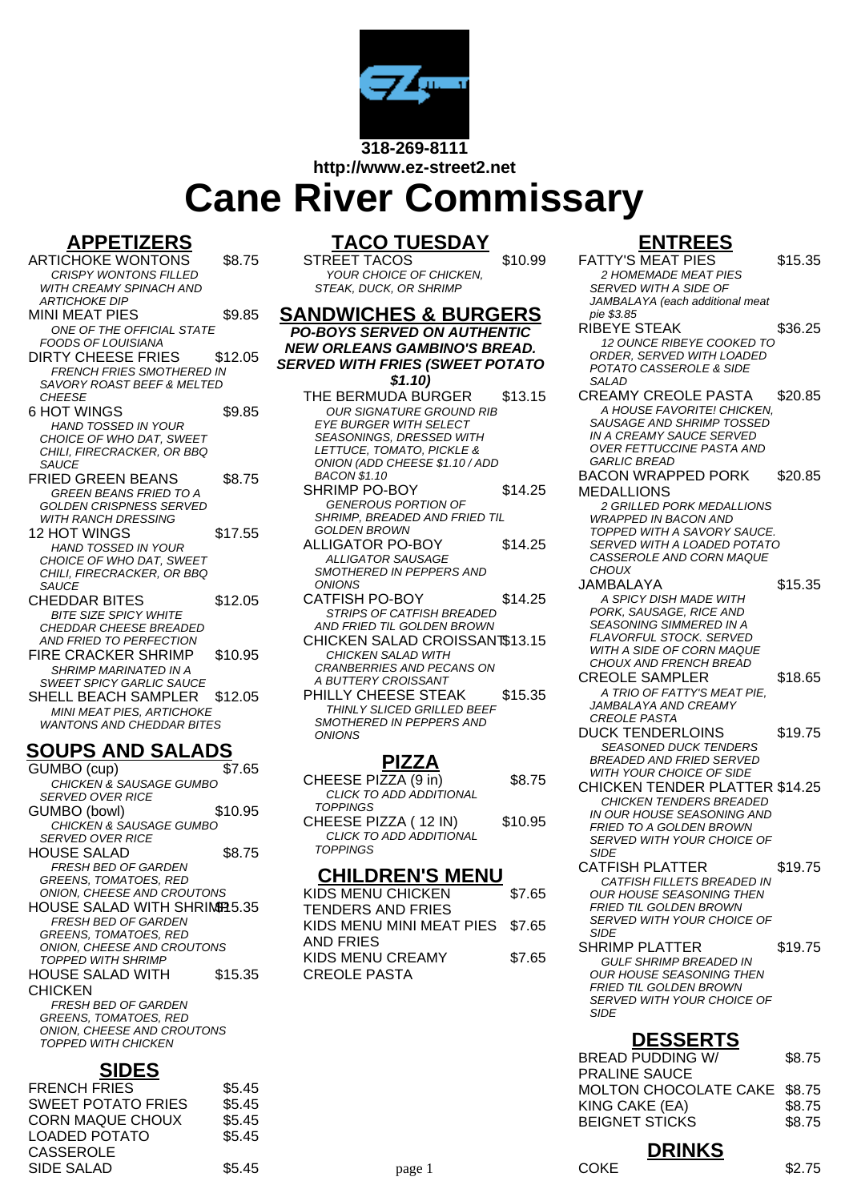

**http://www.ez-street2.net**

# **Cane River Commissary**

#### **APPETIZERS**

ARTICHOKE WONTONS \$8.75 CRISPY WONTONS FILLED WITH CREAMY SPINACH AND ARTICHOKE DIP MINI MEAT PIES \$9.85 ONE OF THE OFFICIAL STATE FOODS OF LOUISIANA DIRTY CHEESE FRIES \$12.05 FRENCH FRIES SMOTHERED IN SAVORY ROAST BEEF & MELTED **CHEESE** 6 HOT WINGS \$9.85 HAND TOSSED IN YOUR CHOICE OF WHO DAT, SWEET CHILI, FIRECRACKER, OR BBQ **SAUCE** FRIED GREEN BEANS \$8.75 GREEN BEANS FRIED TO A GOLDEN CRISPNESS SERVED WITH RANCH DRESSING 12 HOT WINGS \$17.55 HAND TOSSED IN YOUR CHOICE OF WHO DAT, SWEET CHILL FIRECRACKER, OR BBQ **SAUCE** CHEDDAR BITES \$12.05 BITE SIZE SPICY WHITE CHEDDAR CHEESE BREADED AND FRIED TO PERFECTION FIRE CRACKER SHRIMP \$10.95

- SHRIMP MARINATED IN A SWEET SPICY GARLIC SAUCE SHELL BEACH SAMPLER \$12.05 MINI MEAT PIES, ARTICHOKE
- WANTONS AND CHEDDAR BITES

## **SOUPS AND SALADS**

GUMBO (cup) \$7.65 CHICKEN & SAUSAGE GUMBO SERVED OVER RICE GUMBO (bowl) \$10.95 CHICKEN & SAUSAGE GUMBO SERVED OVER RICE HOUSE SALAD \$8.75 FRESH BED OF GARDEN GREENS, TOMATOES, RED ONION, CHEESE AND CROUTONS HOUSE SALAD WITH SHRIMP 5.35 FRESH BED OF GARDEN GREENS, TOMATOES, RED ONION, CHEESE AND CROUTONS TOPPED WITH SHRIMP HOUSE SALAD WITH CHICKEN \$15.35 FRESH BED OF GARDEN GREENS, TOMATOES, RED ONION, CHEESE AND CROUTONS TOPPED WITH CHICKEN

#### **SIDES**

| ----                      |        |
|---------------------------|--------|
| <b>FRENCH FRIES</b>       | \$5.45 |
| <b>SWEET POTATO FRIES</b> | \$5.45 |
| <b>CORN MAQUE CHOUX</b>   | \$5.45 |
| LOADED POTATO             | \$5.45 |
| CASSEROLE                 |        |
| <b>SIDE SALAD</b>         | \$5.45 |
|                           |        |

## **TACO TUESDAY**

STREET TACOS \$10.99 YOUR CHOICE OF CHICKEN, STEAK, DUCK, OR SHRIMP

- **SANDWICHES & BURGERS PO-BOYS SERVED ON AUTHENTIC NEW ORLEANS GAMBINO'S BREAD. SERVED WITH FRIES (SWEET POTATO \$1.10)** THE BERMUDA BURGER \$13.15 OUR SIGNATURE GROUND RIB EYE BURGER WITH SELECT SEASONINGS, DRESSED WITH LETTUCE, TOMATO, PICKLE & ONION (ADD CHEESE \$1.10 / ADD BACON \$1.10 SHRIMP PO-BOY \$14.25 GENEROUS PORTION OF SHRIMP, BREADED AND FRIED TIL GOLDEN BROWN ALLIGATOR PO-BOY \$14.25 ALLIGATOR SAUSAGE SMOTHERED IN PEPPERS AND **ONIONS** CATFISH PO-BOY \$14.25 STRIPS OF CATFISH BREADED AND FRIED TIL GOLDEN BROWN CHICKEN SALAD CROISSANT\$13.15 CHICKEN SALAD WITH CRANBERRIES AND PECANS ON A BUTTERY CROISSANT
	- PHILLY CHEESE STEAK \$15.35 THINLY SLICED GRILLED BEEF SMOTHERED IN PEPPERS AND ONIONS

## **PIZZA**

CHEESE PIZZA (9 in) \$8.75 CLICK TO ADD ADDITIONAL **TOPPINGS** CHEESE PIZZA ( 12 IN) \$10.95 CLICK TO ADD ADDITIONAL **TOPPINGS** 

#### **CHILDREN'S MENU**

| KIDS MENU CHICKEN               | \$7.65 |
|---------------------------------|--------|
| <b>TENDERS AND FRIES</b>        |        |
| KIDS MENU MINI MEAT PIES \$7.65 |        |
| AND FRIES                       |        |
| KIDS MENU CREAMY                | \$7.65 |
| <b>CREOLE PASTA</b>             |        |
|                                 |        |

# **ENTREES**

| NIKEES                                                          |         |
|-----------------------------------------------------------------|---------|
| <b>FATTY'S MEAT PIES</b>                                        | \$15.35 |
| 2 HOMEMADE MEAT PIES                                            |         |
| SERVED WITH A SIDE OF                                           |         |
| JAMBALAYA (each additional meat                                 |         |
| pie \$3.85                                                      |         |
| RIBEYE STEAK                                                    | \$36.25 |
| <b>12 OUNCE RIBEYE COOKED TO</b>                                |         |
| ORDER, SERVED WITH LOADED                                       |         |
| POTATO CASSEROLE & SIDE                                         |         |
| SALAD                                                           |         |
| <b>CREAMY CREOLE PASTA</b>                                      | \$20.85 |
| A HOUSE FAVORITE! CHICKEN,                                      |         |
| SAUSAGE AND SHRIMP TOSSED                                       |         |
| IN A CREAMY SAUCE SERVED<br><b>OVER FETTUCCINE PASTA AND</b>    |         |
| GARLIC BREAD                                                    |         |
| <b>BACON WRAPPED PORK</b>                                       | \$20.85 |
| <b>MEDALLIONS</b>                                               |         |
|                                                                 |         |
| <b>2 GRILLED PORK MEDALLIONS</b><br><b>WRAPPED IN BACON AND</b> |         |
| TOPPED WITH A SAVORY SAUCE.                                     |         |
| SERVED WITH A LOADED POTATO                                     |         |
| <i>CASSEROLE AND CORN MAQUE</i>                                 |         |
| <b>CHOUX</b>                                                    |         |
| JAMBALAYA                                                       | \$15.35 |
| A SPICY DISH MADE WITH                                          |         |
| PORK, SAUSAGE, RICE AND                                         |         |
| <b>SEASONING SIMMERED IN A</b>                                  |         |
| FLAVORFUL STOCK. SERVED                                         |         |
| WITH A SIDE OF CORN MAQUE                                       |         |
| CHOUX AND FRENCH BREAD                                          |         |
| <b>CREOLE SAMPLER</b>                                           | \$18.65 |
| A TRIO OF FATTY'S MEAT PIE.                                     |         |
| JAMBALAYA AND CREAMY                                            |         |
| <b>CREOLE PASTA</b>                                             |         |
| <b>DUCK TENDERLOINS</b>                                         | \$19.75 |
| <b>SEASONED DUCK TENDERS</b>                                    |         |
| <i>BREADED AND FRIED SERVED</i>                                 |         |
| WITH YOUR CHOICE OF SIDE                                        |         |
| <b>CHICKEN TENDER PLATTER \$14.25</b>                           |         |
| <b>CHICKEN TENDERS BREADED</b><br>IN OUR HOUSE SEASONING AND    |         |
| FRIED TO A GOLDEN BROWN                                         |         |
| SERVED WITH YOUR CHOICE OF                                      |         |
| SIDE                                                            |         |
| CATFISH PLATTER                                                 | \$19.75 |
| CA IFISH FILLETS BREADED IN                                     |         |
| OUR HOUSE SEASONING THEN                                        |         |
| FRIED TIL GOLDEN BROWN                                          |         |
| <i>SERVED WITH YOUR CHOICE OF</i>                               |         |
| <b>SIDE</b>                                                     |         |
| SHRIMP PLATTER                                                  | \$19.75 |
| <b>GULF SHRIMP BREADED IN</b>                                   |         |
| <b>OUR HOUSE SEASONING THEN</b>                                 |         |
| FRIED TIL GOLDEN BROWN                                          |         |
| SERVED WITH YOUR CHOICE OF                                      |         |
| SIDE                                                            |         |
| <b>DESSERTS</b>                                                 |         |
|                                                                 |         |

| --------                     |        |  |
|------------------------------|--------|--|
| <b>BREAD PUDDING W/</b>      | \$8.75 |  |
| <b>PRALINE SAUCE</b>         |        |  |
| MOLTON CHOCOLATE CAKE \$8.75 |        |  |
| KING CAKE (EA)               | \$8.75 |  |
| <b>BEIGNET STICKS</b>        | \$8.75 |  |
|                              |        |  |
| <b>DRINKS</b>                |        |  |